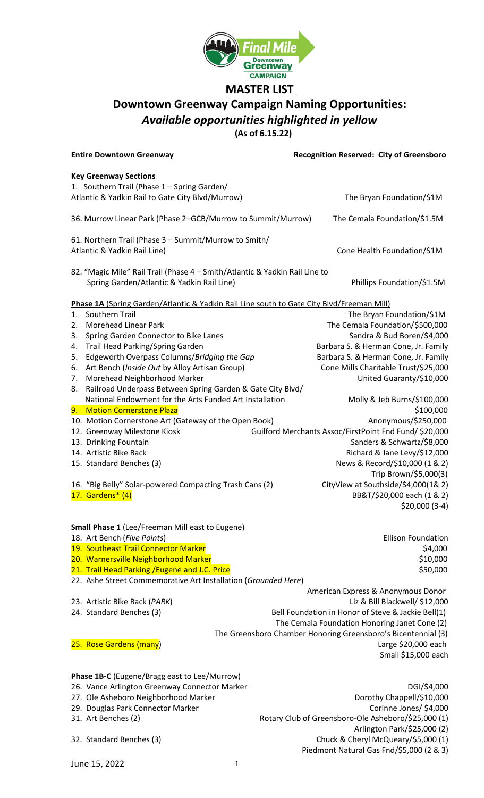

## **MASTER LIST**

## **Downtown Greenway Campaign Naming Opportunities:** *Available opportunities highlighted in yellow*

**(As of 6.15.22)**

June 15, 2022 1 **Entire Downtown Greenway Recognition Reserved: City of Greensboro Key Greenway Sections** 1. Southern Trail (Phase 1 – Spring Garden/ Atlantic & Yadkin Rail to Gate City Blvd/Murrow) The Bryan Foundation/\$1M 36. Murrow Linear Park (Phase 2–GCB/Murrow to Summit/Murrow) The Cemala Foundation/\$1.5M 61. Northern Trail (Phase 3 – Summit/Murrow to Smith/ Atlantic & Yadkin Rail Line) **Cone Health Foundation/\$1M** 82. "Magic Mile" Rail Trail (Phase 4 – Smith/Atlantic & Yadkin Rail Line to Spring Garden/Atlantic & Yadkin Rail Line) Manus Phillips Foundation/\$1.5M **Phase 1A** (Spring Garden/Atlantic & Yadkin Rail Line south to Gate City Blvd/Freeman Mill) 1. Southern Trail The Bryan Foundation/\$1M 2. Morehead Linear Park The Cemala Foundation/\$500,000 3. Spring Garden Connector to Bike Lanes Sandra & Bud Boren/\$4,000 4. Trail Head Parking/Spring Garden Barchines Barbara S. & Herman Cone, Jr. Family 5. Edgeworth Overpass Columns/Bridging the Gap Barbara S. & Herman Cone, Jr. Family 6. Art Bench (*Inside Out* by Alloy Artisan Group) Cone Mills Charitable Trust/\$25,000 7. Morehead Neighborhood Marker Channel Communication Control Control United Guaranty/\$10,000 8. Railroad Underpass Between Spring Garden & Gate City Blvd/ National Endowment for the Arts Funded Art Installation Molly & Jeb Burns/\$100,000 errors of the United States of the United States of the United States of the United States of the States of the States of the United States of the United States of the United States of the United States of the United State 10. Motion Cornerstone Art (Gateway of the Open Book) Anonymous/\$250,000 12. Greenway Milestone Kiosk Guilford Merchants Assoc/FirstPoint Fnd Fund/ \$20,000 13. Drinking Fountain Sanders & Schwartz/\$8,000 14. Artistic Bike Rack Richard & Jane Levy/\$12,000 15. Standard Benches (3) 15. Standard Benches (3) Trip Brown/\$5,000(3) 16. "Big Belly" Solar-powered Compacting Trash Cans (2) CityView at Southside/\$4,000(1& 2) 17. Gardens\* (4) **BBAT/\$20,000** each (1 & 2) \$20,000 (3-4) **Small Phase 1** (Lee/Freeman Mill east to Eugene) 18. Art Bench (*Five Points*) Ellison Foundation 19. Southeast Trail Connector Marker **19. Southeast Trail Connector Marker**  $\sim$  54,000 20. Warnersville Neighborhood Marker \$10,000 and \$10,000 and \$10,000 and \$10,000 and \$10,000 and \$10,000 and \$10,000 and \$10,000 and \$10,000 and \$10,000 and \$10,000 and \$10,000 and \$10,000 and \$10,000 and \$10,000 and \$10,0 21. Trail Head Parking /Eugene and J.C. Price \$50,000 \$50,000 \$50,000 22. Ashe Street Commemorative Art Installation (*Grounded Here*) American Express & Anonymous Donor 23. Artistic Bike Rack (*PARK*) Liz & Bill Blackwell/ \$12,000 24. Standard Benches (3) The Bell Foundation in Honor of Steve & Jackie Bell(1) The Cemala Foundation Honoring Janet Cone (2) The Greensboro Chamber Honoring Greensboro's Bicentennial (3) 25. Rose Gardens (many) Large \$20,000 each Small \$15,000 each **Phase 1B-C** (Eugene/Bragg east to Lee/Murrow) 26. Vance Arlington Greenway Connector Marker NGCONSER CONNECTIVE CONNECTIVE DGI/\$4,000 27. Ole Asheboro Neighborhood Marker **Dorothy Chappell** Dorothy Chappell/\$10,000 29. Douglas Park Connector Marker Corinne Jones/ \$4,000 31. Art Benches (2) Rotary Club of Greensboro-Ole Asheboro/\$25,000 (1) Arlington Park/\$25,000 (2) 32. Standard Benches (3) Chuck & Cheryl McQueary/\$5,000 (1) Piedmont Natural Gas Fnd/\$5,000 (2 & 3)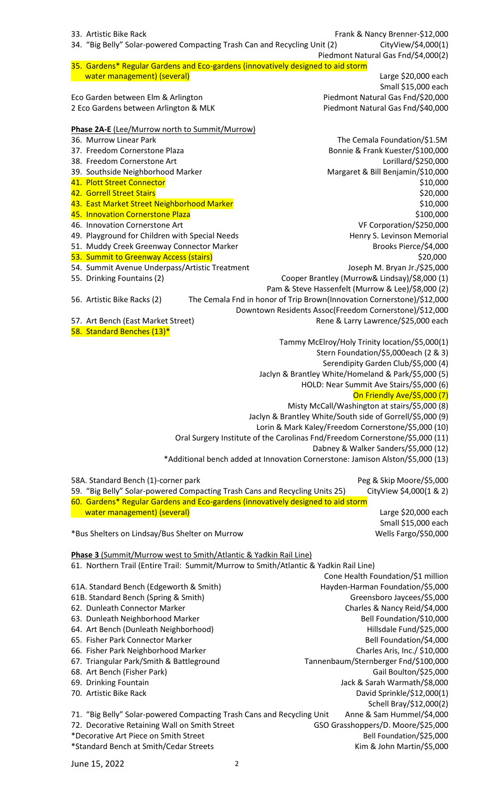| 33. Artistic Bike Rack<br>34. "Big Belly" Solar-powered Compacting Trash Can and Recycling Unit (2) | Frank & Nancy Brenner-\$12,000<br>CityView/\$4,000(1)<br>Piedmont Natural Gas Fnd/\$4,000(2) |
|-----------------------------------------------------------------------------------------------------|----------------------------------------------------------------------------------------------|
| 35. Gardens* Regular Gardens and Eco-gardens (innovatively designed to aid storm                    |                                                                                              |
| water management) (several)                                                                         | Large \$20,000 each                                                                          |
|                                                                                                     | Small \$15,000 each                                                                          |
|                                                                                                     |                                                                                              |
| Eco Garden between Elm & Arlington                                                                  | Piedmont Natural Gas Fnd/\$20,000                                                            |
| 2 Eco Gardens between Arlington & MLK                                                               | Piedmont Natural Gas Fnd/\$40,000                                                            |
|                                                                                                     |                                                                                              |
| Phase 2A-E (Lee/Murrow north to Summit/Murrow)                                                      |                                                                                              |
| 36. Murrow Linear Park                                                                              | The Cemala Foundation/\$1.5M                                                                 |
| 37. Freedom Cornerstone Plaza                                                                       | Bonnie & Frank Kuester/\$100,000                                                             |
| 38. Freedom Cornerstone Art                                                                         | Lorillard/\$250,000                                                                          |
| 39. Southside Neighborhood Marker                                                                   | Margaret & Bill Benjamin/\$10,000                                                            |
| 41. Plott Street Connector                                                                          | \$10,000                                                                                     |
| 42. Gorrell Street Stairs                                                                           | \$20,000                                                                                     |
| 43. East Market Street Neighborhood Marker                                                          | \$10,000                                                                                     |
| 45. Innovation Cornerstone Plaza                                                                    | \$100,000                                                                                    |
| 46. Innovation Cornerstone Art                                                                      | VF Corporation/\$250,000                                                                     |
| 49. Playground for Children with Special Needs                                                      | Henry S. Levinson Memorial                                                                   |
| 51. Muddy Creek Greenway Connector Marker                                                           | Brooks Pierce/\$4,000                                                                        |
| 53. Summit to Greenway Access (stairs)                                                              | \$20,000                                                                                     |
| 54. Summit Avenue Underpass/Artistic Treatment                                                      | Joseph M. Bryan Jr./\$25,000                                                                 |
| 55. Drinking Fountains (2)                                                                          | Cooper Brantley (Murrow& Lindsay)/\$8,000 (1)                                                |
|                                                                                                     | Pam & Steve Hassenfelt (Murrow & Lee)/\$8,000 (2)                                            |
| 56. Artistic Bike Racks (2)                                                                         | The Cemala Fnd in honor of Trip Brown(Innovation Cornerstone)/\$12,000                       |
|                                                                                                     | Downtown Residents Assoc(Freedom Cornerstone)/\$12,000                                       |
|                                                                                                     |                                                                                              |
| 57. Art Bench (East Market Street)                                                                  | Rene & Larry Lawrence/\$25,000 each                                                          |
| 58. Standard Benches (13)*                                                                          |                                                                                              |
|                                                                                                     | Tammy McElroy/Holy Trinity location/\$5,000(1)                                               |
|                                                                                                     | Stern Foundation/\$5,000each (2 & 3)                                                         |
|                                                                                                     | Serendipity Garden Club/\$5,000 (4)                                                          |
|                                                                                                     | Jaclyn & Brantley White/Homeland & Park/\$5,000 (5)                                          |
|                                                                                                     | HOLD: Near Summit Ave Stairs/\$5,000 (6)                                                     |
|                                                                                                     | On Friendly Ave/\$5,000 (7)                                                                  |
|                                                                                                     | Misty McCall/Washington at stairs/\$5,000 (8)                                                |
|                                                                                                     | Jaclyn & Brantley White/South side of Gorrell/\$5,000 (9)                                    |
|                                                                                                     | Lorin & Mark Kaley/Freedom Cornerstone/\$5,000 (10)                                          |
|                                                                                                     | Oral Surgery Institute of the Carolinas Fnd/Freedom Cornerstone/\$5,000 (11)                 |
|                                                                                                     | Dabney & Walker Sanders/\$5,000 (12)                                                         |
|                                                                                                     | *Additional bench added at Innovation Cornerstone: Jamison Alston/\$5,000 (13)               |
|                                                                                                     |                                                                                              |
| 58A. Standard Bench (1)-corner park                                                                 | Peg & Skip Moore/\$5,000                                                                     |
| 59. "Big Belly" Solar-powered Compacting Trash Cans and Recycling Units 25)                         |                                                                                              |
|                                                                                                     |                                                                                              |
|                                                                                                     | CityView \$4,000(1 & 2)                                                                      |
| 60. Gardens* Regular Gardens and Eco-gardens (innovatively designed to aid storm                    |                                                                                              |
| water management) (several)                                                                         | Large \$20,000 each                                                                          |
|                                                                                                     | Small \$15,000 each                                                                          |
| *Bus Shelters on Lindsay/Bus Shelter on Murrow                                                      | Wells Fargo/\$50,000                                                                         |
|                                                                                                     |                                                                                              |
| Phase 3 (Summit/Murrow west to Smith/Atlantic & Yadkin Rail Line)                                   |                                                                                              |
| 61. Northern Trail (Entire Trail: Summit/Murrow to Smith/Atlantic & Yadkin Rail Line)               |                                                                                              |
|                                                                                                     | Cone Health Foundation/\$1 million                                                           |
| 61A. Standard Bench (Edgeworth & Smith)                                                             | Hayden-Harman Foundation/\$5,000                                                             |
| 61B. Standard Bench (Spring & Smith)                                                                | Greensboro Jaycees/\$5,000                                                                   |
| 62. Dunleath Connector Marker                                                                       | Charles & Nancy Reid/\$4,000                                                                 |
| 63. Dunleath Neighborhood Marker                                                                    | Bell Foundation/\$10,000                                                                     |
| 64. Art Bench (Dunleath Neighborhood)                                                               | Hillsdale Fund/\$25,000                                                                      |
| 65. Fisher Park Connector Marker                                                                    | Bell Foundation/\$4,000                                                                      |
| 66. Fisher Park Neighborhood Marker                                                                 | Charles Aris, Inc./ \$10,000                                                                 |
| 67. Triangular Park/Smith & Battleground                                                            | Tannenbaum/Sternberger Fnd/\$100,000                                                         |
| 68. Art Bench (Fisher Park)                                                                         | Gail Boulton/\$25,000                                                                        |
| 69. Drinking Fountain                                                                               | Jack & Sarah Warmath/\$8,000                                                                 |
| 70. Artistic Bike Rack                                                                              |                                                                                              |
|                                                                                                     | David Sprinkle/\$12,000(1)                                                                   |
|                                                                                                     | Schell Bray/\$12,000(2)                                                                      |
| 71. "Big Belly" Solar-powered Compacting Trash Cans and Recycling Unit                              | Anne & Sam Hummel/\$4,000                                                                    |
| 72. Decorative Retaining Wall on Smith Street                                                       | GSO Grasshoppers/D. Moore/\$25,000                                                           |
| *Decorative Art Piece on Smith Street<br>*Standard Bench at Smith/Cedar Streets                     | Bell Foundation/\$25,000<br>Kim & John Martin/\$5,000                                        |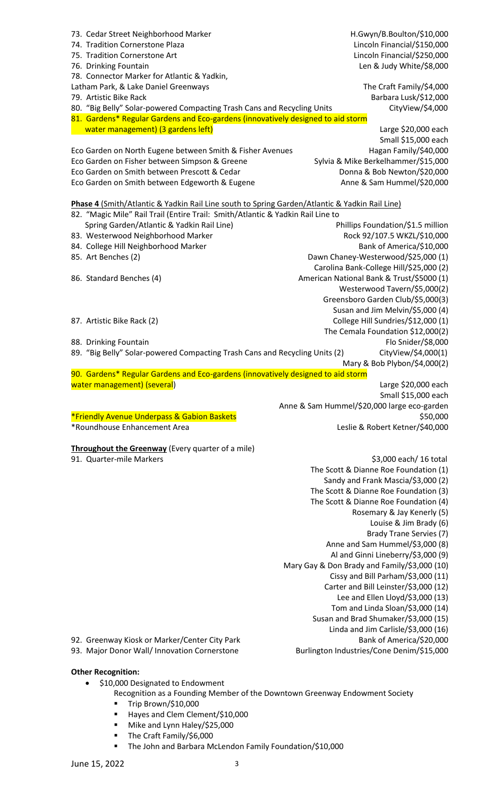| 73. Cedar Street Neighborhood Marker                                                                                                                                              | H.Gwyn/B.Boulton/\$10,000                                                   |
|-----------------------------------------------------------------------------------------------------------------------------------------------------------------------------------|-----------------------------------------------------------------------------|
| 74. Tradition Cornerstone Plaza                                                                                                                                                   | Lincoln Financial/\$150,000                                                 |
| 75. Tradition Cornerstone Art                                                                                                                                                     | Lincoln Financial/\$250,000                                                 |
| 76. Drinking Fountain                                                                                                                                                             | Len & Judy White/\$8,000                                                    |
| 78. Connector Marker for Atlantic & Yadkin,                                                                                                                                       |                                                                             |
| Latham Park, & Lake Daniel Greenways<br>79. Artistic Bike Rack                                                                                                                    | The Craft Family/\$4,000                                                    |
| 80. "Big Belly" Solar-powered Compacting Trash Cans and Recycling Units                                                                                                           | Barbara Lusk/\$12,000<br>CityView/\$4,000                                   |
| 81. Gardens* Regular Gardens and Eco-gardens (innovatively designed to aid storm                                                                                                  |                                                                             |
| water management) (3 gardens left)                                                                                                                                                | Large \$20,000 each                                                         |
|                                                                                                                                                                                   | Small \$15,000 each                                                         |
| Eco Garden on North Eugene between Smith & Fisher Avenues                                                                                                                         | Hagan Family/\$40,000                                                       |
| Eco Garden on Fisher between Simpson & Greene                                                                                                                                     | Sylvia & Mike Berkelhammer/\$15,000                                         |
| Eco Garden on Smith between Prescott & Cedar                                                                                                                                      | Donna & Bob Newton/\$20,000                                                 |
| Eco Garden on Smith between Edgeworth & Eugene                                                                                                                                    | Anne & Sam Hummel/\$20,000                                                  |
|                                                                                                                                                                                   |                                                                             |
| Phase 4 (Smith/Atlantic & Yadkin Rail Line south to Spring Garden/Atlantic & Yadkin Rail Line)<br>82. "Magic Mile" Rail Trail (Entire Trail: Smith/Atlantic & Yadkin Rail Line to |                                                                             |
| Spring Garden/Atlantic & Yadkin Rail Line)                                                                                                                                        | Phillips Foundation/\$1.5 million                                           |
| 83. Westerwood Neighborhood Marker                                                                                                                                                | Rock 92/107.5 WKZL/\$10,000                                                 |
| 84. College Hill Neighborhood Marker                                                                                                                                              | Bank of America/\$10,000                                                    |
| 85. Art Benches (2)                                                                                                                                                               | Dawn Chaney-Westerwood/\$25,000 (1)                                         |
|                                                                                                                                                                                   | Carolina Bank-College Hill/\$25,000 (2)                                     |
| 86. Standard Benches (4)                                                                                                                                                          | American National Bank & Trust/\$5000 (1)                                   |
|                                                                                                                                                                                   | Westerwood Tavern/\$5,000(2)                                                |
|                                                                                                                                                                                   | Greensboro Garden Club/\$5,000(3)                                           |
|                                                                                                                                                                                   | Susan and Jim Melvin/\$5,000 (4)                                            |
| 87. Artistic Bike Rack (2)                                                                                                                                                        | College Hill Sundries/\$12,000 (1)                                          |
|                                                                                                                                                                                   | The Cemala Foundation \$12,000(2)                                           |
| 88. Drinking Fountain                                                                                                                                                             | Flo Snider/\$8,000                                                          |
| 89. "Big Belly" Solar-powered Compacting Trash Cans and Recycling Units (2)                                                                                                       | CityView/\$4,000(1)                                                         |
|                                                                                                                                                                                   | Mary & Bob Plybon/\$4,000(2)                                                |
| 90. Gardens* Regular Gardens and Eco-gardens (innovatively designed to aid storm                                                                                                  |                                                                             |
| water management) (several)                                                                                                                                                       | Large \$20,000 each                                                         |
|                                                                                                                                                                                   | Small \$15,000 each<br>Anne & Sam Hummel/\$20,000 large eco-garden          |
| *Friendly Avenue Underpass & Gabion Baskets                                                                                                                                       | \$50,000                                                                    |
| *Roundhouse Enhancement Area                                                                                                                                                      | Leslie & Robert Ketner/\$40,000                                             |
|                                                                                                                                                                                   |                                                                             |
| <b>Throughout the Greenway</b> (Every quarter of a mile)                                                                                                                          |                                                                             |
| 91. Quarter-mile Markers                                                                                                                                                          | \$3,000 each/ 16 total                                                      |
|                                                                                                                                                                                   | The Scott & Dianne Roe Foundation (1)                                       |
|                                                                                                                                                                                   | Sandy and Frank Mascia/\$3,000 (2)                                          |
|                                                                                                                                                                                   | The Scott & Dianne Roe Foundation (3)                                       |
|                                                                                                                                                                                   | The Scott & Dianne Roe Foundation (4)                                       |
|                                                                                                                                                                                   | Rosemary & Jay Kenerly (5)                                                  |
|                                                                                                                                                                                   | Louise & Jim Brady (6)                                                      |
|                                                                                                                                                                                   | <b>Brady Trane Servies (7)</b>                                              |
|                                                                                                                                                                                   | Anne and Sam Hummel/\$3,000 (8)                                             |
|                                                                                                                                                                                   | Al and Ginni Lineberry/\$3,000 (9)                                          |
|                                                                                                                                                                                   | Mary Gay & Don Brady and Family/\$3,000 (10)                                |
|                                                                                                                                                                                   | Cissy and Bill Parham/\$3,000 (11)<br>Carter and Bill Leinster/\$3,000 (12) |
|                                                                                                                                                                                   | Lee and Ellen Lloyd/\$3,000 (13)                                            |
|                                                                                                                                                                                   | Tom and Linda Sloan/\$3,000 (14)                                            |
|                                                                                                                                                                                   | Susan and Brad Shumaker/\$3,000 (15)                                        |
|                                                                                                                                                                                   | Linda and Jim Carlisle/\$3,000 (16)                                         |
| 92. Greenway Kiosk or Marker/Center City Park                                                                                                                                     | Bank of America/\$20,000                                                    |
| 93. Major Donor Wall/ Innovation Cornerstone                                                                                                                                      |                                                                             |
|                                                                                                                                                                                   | Burlington Industries/Cone Denim/\$15,000                                   |
|                                                                                                                                                                                   |                                                                             |

- Recognition as a Founding Member of the Downtown Greenway Endowment Society
	- Trip Brown/\$10,000
	- Hayes and Clem Clement/\$10,000
	- Mike and Lynn Haley/\$25,000
	- The Craft Family/\$6,000
	- The John and Barbara McLendon Family Foundation/\$10,000